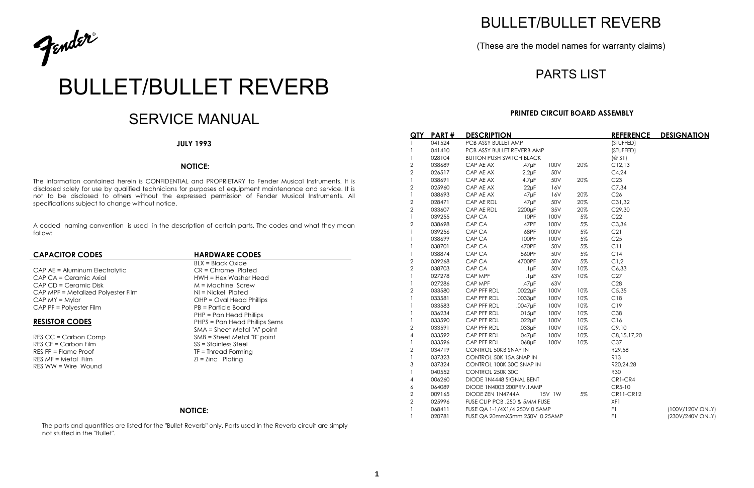

# BULLET/BULLET REVERB

# SERVICE MANUAL

#### **JULY 1993**

#### **NOTICE:**

The information contained herein is CONFIDENTIAL and PROPRIETARY to Fender Musical Instruments. It is disclosed solely for use by qualified technicians for purposes of equipment maintenance and service. It is not to be disclosed to others without the expressed permission of Fender Musical Instruments. All specifications subject to change without notice.

BLX = Black Oxide PHP = Pan Head Phillips **RESISTOR CODES** PHPS = Pan Head Phillips Sems SMA = Sheet Metal "A" point RES CC = Carbon Comp SMB = Sheet Metal "B" point

A coded naming convention is used in the description of certain parts. The codes and what they mean follow:

#### **CAPACITOR CODES HARDWARE CODES**

CAP AE = Aluminum Electrolytic CAP AE = Chrome Plated CAP CA = Ceramic Axial details and the Head HWH = Hex Washer Head CAP CD = Ceramic Disk M = Machine Screw CAP MPF = Metalized Polyester Film NI = Nickel Plated CAP MY = Mylar CAP MY = Mylar CAP MY = Oval Head Phillips CAP PF = Polyester Film PB = Particle Board

RES CF = Carbon Film SS = Stainless Steel RES FP = Flame Proof TF = Thread Forming RES MF = Metal Film  $ZI = Zinc$  Plating RES WW = Wire Wound

### **NOTICE:**

The parts and quantities are listed for the "Bullet Reverb" only. Parts used in the Reverb circuit are simply not stuffed in the "Bullet".

# BULLET/BULLET REVERB

## (These are the model names for warranty claims)

## PARTS LIST

### **PRINTED CIRCUIT BOARD ASSEMBLY**

| QTY            | <b>PART#</b> | <b>DESCRIPTION</b>              |             |        |       | <b>REFERENCE</b> | <b>DESIGNATION</b> |
|----------------|--------------|---------------------------------|-------------|--------|-------|------------------|--------------------|
| 1              | 041524       | PCB ASSY BULLET AMP             |             |        |       | (STUFFED)        |                    |
| 1              | 041410       | PCB ASSY BULLET REVERB AMP      |             |        |       | (STUFFED)        |                    |
| 1              | 028104       | <b>BUTTON PUSH SWITCH BLACK</b> |             |        |       | (@S1)            |                    |
| $\overline{2}$ | 038689       | CAP AE AX                       | $.47\mu F$  | 100V   | 20%   | C12, 13          |                    |
| $\overline{c}$ | 026517       | CAP AE AX                       | $2.2 \mu F$ | 50V    |       | C4,24            |                    |
| 1              | 038691       | CAP AE AX                       | $4.7 \mu F$ | 50V    | 20%   | C <sub>23</sub>  |                    |
| 2              | 025960       | CAP AE AX                       | $22\mu F$   | 16V    |       | C7,34            |                    |
| 1              | 038693       | CAP AE AX                       | $47\mu F$   | 16V    | 20%   | C <sub>26</sub>  |                    |
| $\overline{c}$ | 028471       | CAP AE RDL                      | $47\mu F$   | 50V    | 20%   | C31,32           |                    |
| $\overline{2}$ | 033607       | CAP AE RDL                      | 2200µF      | 35V    | 20%   | C29,30           |                    |
| 1              | 039255       | CAP CA                          | 10PF        | 100V   | $5\%$ | C22              |                    |
| 2              | 038698       | CAP CA                          | 47PF        | 100V   | $5\%$ | C3,36            |                    |
| 1              | 039256       | CAP CA                          | 68PF        | 100V   | $5\%$ | C21              |                    |
| 1              | 038699       | CAP CA                          | 100PF       | 100V   | $5\%$ | C <sub>25</sub>  |                    |
| 1              | 038701       | CAP CA                          | 470PF       | 50V    | $5\%$ | C11              |                    |
| 1              | 038874       | CAP CA                          | 560PF       | 50V    | $5\%$ | C14              |                    |
| 2              | 039268       | CAP CA                          | 4700PF      | 50V    | $5\%$ | C1,2             |                    |
| $\overline{c}$ | 038703       | CAP CA                          | $.1\mu F$   | 50V    | 10%   | C6,33            |                    |
| 1              | 027278       | CAP MPF                         | $.1\mu F$   | 63V    | 10%   | C27              |                    |
| 1              | 027286       | CAP MPF                         | $.47\mu F$  | 63V    |       | C28              |                    |
| 2              | 033580       | CAP PFF RDL                     | .0022µF     | 100V   | 10%   | C5,35            |                    |
| 1              | 033581       | CAP PFF RDL                     | .0033µF     | 100V   | 10%   | C18              |                    |
| 1              | 033583       | CAP PFF RDL                     | .0047µF     | 100V   | 10%   | C19              |                    |
| 1              | 036234       | CAP PFF RDL                     | $.015\mu F$ | 100V   | 10%   | C38              |                    |
| 1              | 033590       | CAP PFF RDL                     | $.022\mu F$ | 100V   | 10%   | C16              |                    |
| 2              | 033591       | CAP PFF RDL                     | $.033\mu F$ | 100V   | 10%   | C9,10            |                    |
| 4              | 033592       | CAP PFF RDL                     | $.047\mu F$ | 100V   | 10%   | C8, 15, 17, 20   |                    |
| 1              | 033596       | CAP PFF RDL                     | $.068\mu F$ | 100V   | 10%   | C37              |                    |
| $\overline{2}$ | 034719       | <b>CONTROL 50KB SNAP IN</b>     |             |        |       | R29,58           |                    |
| 1              | 037323       | CONTROL 50K 15A SNAP IN         |             |        |       | <b>R13</b>       |                    |
| 3              | 037324       | CONTROL 100K 30C SNAP IN        |             |        |       | R20,24,28        |                    |
| 1              | 040552       | CONTROL 250K 30C                |             |        |       | <b>R30</b>       |                    |
| 4              | 006260       | DIODE 1N4448 SIGNAL BENT        |             |        |       | CR1-CR4          |                    |
| 6              | 064089       | DIODE 1N4003 200PRV, 1 AMP      |             |        |       | CR5-10           |                    |
| 2              | 009165       | DIODE ZEN 1N4744A               |             | 15V 1W | 5%    | <b>CR11-CR12</b> |                    |
| $\overline{2}$ | 025996       | FUSE CLIP PCB .250 & 5MM FUSE   |             |        |       | XF1              |                    |
| 1              | 068411       | FUSE QA 1-1/4X1/4 250V 0.5AMP   |             |        |       | F1               | (100V/120V ONLY)   |
| 1              | 020781       | FUSE QA 20mmX5mm 250V 0.25AMP   |             |        |       | F1               | (230V/240V ONLY)   |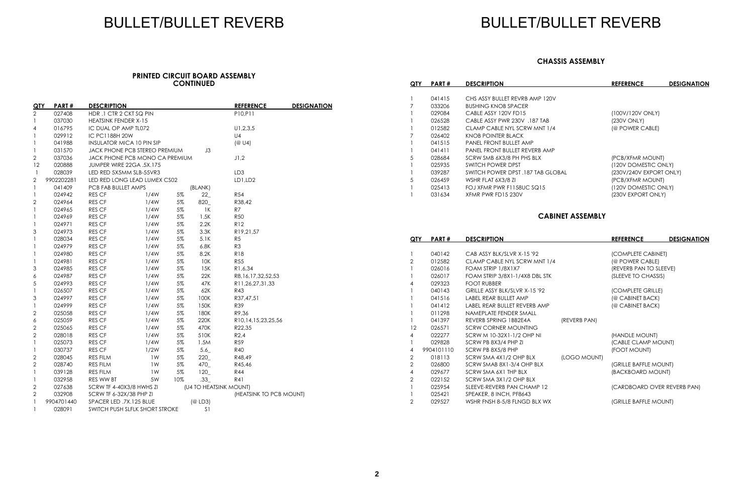## BULLET/BULLET REVERB

#### **PRINTED CIRCUIT BOARD ASSEMBLY CONTINUED**

| QTY              | PART#      | <b>DESCRIPTION</b>               |      |       |                        | <b>REFERENCE</b>        | <b>DESIGNATION</b> |
|------------------|------------|----------------------------------|------|-------|------------------------|-------------------------|--------------------|
| 2                | 027408     | HDR.1 CTR 2 CKT SQ PIN           |      |       |                        | P10,P11                 |                    |
| $\mathbf{1}$     | 037030     | <b>HEATSINK FENDER X-15</b>      |      |       |                        |                         |                    |
| 4                | 016795     | IC DUAL OP AMP TL072             |      |       |                        | U1, 2, 3, 5             |                    |
| $\mathbf{1}$     | 029912     | IC PC1188H 20W                   |      |       |                        | U <sub>4</sub>          |                    |
| 1                | 041988     | <b>INSULATOR MICA 10 PIN SIP</b> |      |       |                        | (@U4)                   |                    |
| $\mathbf{1}$     | 031570     | JACK PHONE PCB STEREO PREMIUM    |      |       | J3                     |                         |                    |
| $\sqrt{2}$       | 037036     | JACK PHONE PCB MONO CA PREMIUM   |      |       |                        | J1,2                    |                    |
| 12               | 020888     | JUMPER WIRE 22GA .5X.175         |      |       |                        |                         |                    |
| $\mathbf{1}$     | 028039     | LED RED 5X5MM SLB-55VR3          |      |       |                        | LD <sub>3</sub>         |                    |
| $\overline{2}$   | 9902202281 | LED RED LONG LEAD LUMEX CS02     |      |       |                        | LD1,LD2                 |                    |
| $\mathbf{1}$     | 041409     | PCB FAB BULLET AMPS              |      |       | (BLANK)                |                         |                    |
| $\mathbf{1}$     | 024942     | RES CF                           | 1/4W | $5\%$ | 22                     | <b>R54</b>              |                    |
| $\overline{2}$   | 024964     | RES CF                           | 1/4W | 5%    | 820_                   | R38,42                  |                    |
| 1                | 024965     | RES CF                           | 1/4W | 5%    | 1K                     | R7                      |                    |
| 1                | 024969     | RES CF                           | 1/4W | 5%    | 1.5K                   | <b>R50</b>              |                    |
| 1                | 024971     | RES CF                           | 1/4W | 5%    | 2.2K                   | <b>R12</b>              |                    |
| 3                | 024973     | RES CF                           | 1/4W | 5%    | 3.3K                   | R19,21,57               |                    |
| 1                | 028034     | RES CF                           | 1/4W | 5%    | 5.1K                   | R <sub>5</sub>          |                    |
| 1                | 024979     | <b>RES CF</b>                    | 1/4W | 5%    | 6.8K                   | R <sub>3</sub>          |                    |
| 1                | 024980     | RES CF                           | 1/4W | 5%    | 8.2K                   | <b>R18</b>              |                    |
| $\mathbf{1}$     | 024981     | <b>RES CF</b>                    | 1/4W | $5\%$ | 10K                    | <b>R55</b>              |                    |
| 3                | 024985     | RES CF                           | 1/4W | 5%    | 15K                    | R1,6,34                 |                    |
| $\boldsymbol{6}$ | 024987     | RES CF                           | 1/4W | $5\%$ | 22K                    | R8,16,17,32,52,53       |                    |
| 5                | 024993     | RES CF                           | 1/4W | 5%    | 47K                    | R11,26,27,31,33         |                    |
| $\mathbf{1}$     | 026507     | RES CF                           | 1/4W | 5%    | 62K                    | <b>R43</b>              |                    |
| 3                | 024997     | <b>RES CF</b>                    | 1/4W | 5%    | 100K                   | R37,47,51               |                    |
| $\mathbf{1}$     | 024999     | RES CF                           | 1/4W | 5%    | 150K                   | R39                     |                    |
| $\overline{2}$   | 025058     | RES CF                           | 1/4W | 5%    | 180K                   | R9,36                   |                    |
| 6                | 025059     | RES CF                           | 1/4W | $5\%$ | 220K                   | R10,14,15,23,25,56      |                    |
| $\mathbf{2}$     | 025065     | <b>RES CF</b>                    | 1/4W | 5%    | 470K                   | R22,35                  |                    |
| $\mathbf{2}$     | 028018     | RES CF                           | 1/4W | 5%    | 510K                   | R2,4                    |                    |
| $\mathbf{1}$     | 025073     | RES CF                           | 1/4W | 5%    | 1.5M                   | R59                     |                    |
| 1                | 030737     | RES CF                           | 1/2W | 5%    | 5.6                    | <b>R40</b>              |                    |
| $\overline{2}$   | 028045     | RES FILM                         | 1W   | $5\%$ | 220                    | R48,49                  |                    |
| $\overline{2}$   | 028740     | RES FILM                         | 1W   | 5%    | 470_                   | R45,46                  |                    |
| $\mathbf{1}$     | 039128     | <b>RES FILM</b>                  | 1W   | 5%    | 120                    | <b>R44</b>              |                    |
| 1                | 032958     | RES WW BT                        | 5W   | 10%   | .33                    | R41                     |                    |
| $\mathbf{2}$     | 027638     | SCRW TF 4-40X3/8 HWHS ZI         |      |       | (U4 TO HEATSINK MOUNT) |                         |                    |
| $\mathbf{2}$     | 032908     | SCRW TF 6-32X/38 PHP ZI          |      |       |                        | (HEATSINK TO PCB MOUNT) |                    |
| $\mathbf{1}$     | 9904701440 | SPACER LED .7X.125 BLUE          |      |       | (@ LD3)                |                         |                    |
| 1                | 028091     | SWITCH PUSH SLFLK SHORT STROKE   |      |       | S <sub>1</sub>         |                         |                    |

# BULLET/BULLET REVERB

#### **CHASSIS ASSEMBLY**

| QTY | <b>PART#</b> | <b>DESCRIPTION</b>                   | <b>REFERENCE</b>        | <b>DESIGNATION</b> |
|-----|--------------|--------------------------------------|-------------------------|--------------------|
|     |              |                                      |                         |                    |
|     | 041415       | CHS ASSY BULLET REVRB AMP 120V       |                         |                    |
|     | 033206       | <b>BUSHING KNOB SPACER</b>           |                         |                    |
|     | 029084       | CABLE ASSY 120V FD15                 | (100V/120V ONLY)        |                    |
|     | 026528       | CABLE ASSY PWR 230V .187 TAB         | (230V ONLY)             |                    |
|     | 012582       | CLAMP CABLE NYL SCRW MNT 1/4         | (@ POWER CABLE)         |                    |
| 7   | 026402       | KNOB POINTER BLACK                   |                         |                    |
|     | 041515       | <b>PANEL FRONT BULLET AMP</b>        |                         |                    |
|     | 041411       | <b>PANEL FRONT BULLET REVERB AMP</b> |                         |                    |
| 5   | 028684       | SCRW SMB 6X3/8 PH PHS BLX            | (PCB/XFMR MOUNT)        |                    |
|     | 025935       | SWITCH POWER DPST                    | (120V DOMESTIC ONLY)    |                    |
|     | 039287       | SWITCH POWER DPST .187 TAB GLOBAL    | (230V/240V EXPORT ONLY) |                    |
| 5   | 026459       | WSHR FLAT 6X3/8 ZI                   | (PCB/XFMR MOUNT)        |                    |
|     | 025413       | FOJ XFMR PWR F1158UC SQ15            | (120V DOMESTIC ONLY)    |                    |
|     | 031634       | XFMR PWR FD15 230V                   | (230V EXPORT ONLY)      |                    |
|     |              |                                      |                         |                    |

### **CABINET ASSEMBLY**

| QTY | PART#      | <b>DESCRIPTION</b>             |              | <b>REFERENCE</b>            | <b>DESIGNATION</b> |
|-----|------------|--------------------------------|--------------|-----------------------------|--------------------|
|     |            |                                |              |                             |                    |
|     | 040142     | CAB ASSY BLK/SLVR X-15 '92     |              | (COMPLETE CABINET)          |                    |
| 2   | 012582     | CLAMP CABLE NYL SCRW MNT 1/4   |              | (@ POWER CABLE)             |                    |
|     | 026016     | FOAM STRIP 1/8X1X7             |              | (REVERB PAN TO SLEEVE)      |                    |
|     | 026017     | FOAM STRIP 3/8X1-1/4X8 DBL STK |              | (SLEEVE TO CHASSIS)         |                    |
| 4   | 029323     | <b>FOOT RUBBER</b>             |              |                             |                    |
|     | 040143     | GRILLE ASSY BLK/SLVR X-15 '92  |              | (COMPLETE GRILLE)           |                    |
|     | 041516     | LABEL REAR BULLET AMP          |              | (@ CABINET BACK)            |                    |
|     | 041412     | LABEL REAR BULLET REVERB AMP   |              | (@ CABINET BACK)            |                    |
|     | 011298     | NAMEPLATE FENDER SMALL         |              |                             |                    |
|     | 041397     | REVERB SPRING 1BB2E4A          | (REVERB PAN) |                             |                    |
| 12  | 026571     | <b>SCRW CORNER MOUNTING</b>    |              |                             |                    |
| 4   | 022277     | SCRW M 10-32X1-1/2 OHP NI      |              | (HANDLE MOUNT)              |                    |
|     | 029828     | SCRW PB 8X3/4 PHP ZI           |              | (CABLE CLAMP MOUNT)         |                    |
| 4   | 9904101110 | SCRW PB 8X5/8 PHP              |              | (FOOT MOUNT)                |                    |
| 2   | 018113     | SCRW SMA 4X1/2 OHP BLX         | (LOGO MOUNT) |                             |                    |
| 2   | 026800     | SCRW SMAB 8X1-3/4 OHP BLX      |              | (GRILLE BAFFLE MOUNT)       |                    |
| 4   | 029677     | SCRW SMA 6X1 THP BLX           |              | (BACKBOARD MOUNT)           |                    |
| 2   | 022152     | SCRW SMA 3X1/2 OHP BLX         |              |                             |                    |
|     | 025954     | SLEEVE-REVERB PAN CHAMP 12     |              | (CARDBOARD OVER REVERB PAN) |                    |
|     | 025421     | SPEAKER, 8 INCH, PF8643        |              |                             |                    |
| 2   | 029527     | WSHR FNSH 8-5/8 FLNGD BLX WX   |              | (GRILLE BAFFLE MOUNT)       |                    |
|     |            |                                |              |                             |                    |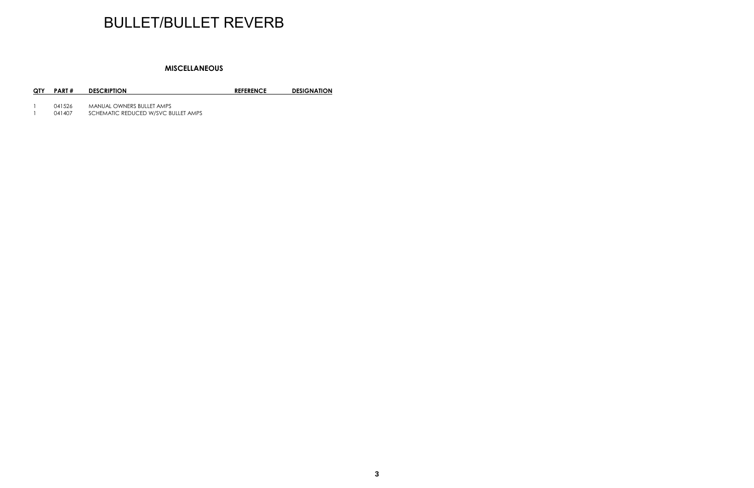## BULLET/BULLET REVERB

#### **MISCELLANEOUS**

#### **QTY PART # DESCRIPTION REFERENCE DESIGNATION**

- 
- 1 041526 MANUAL OWNERS BULLET AMPS<br>1 041407 SCHEMATIC REDUCED W/SVC BU 1 041407 SCHEMATIC REDUCED W/SVC BULLET AMPS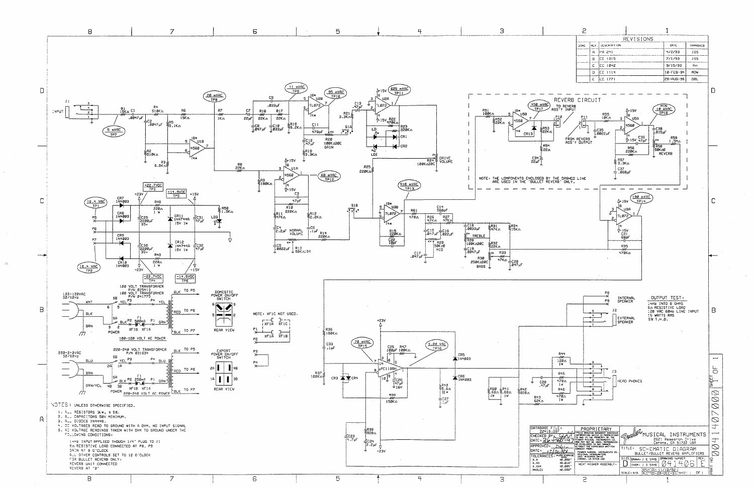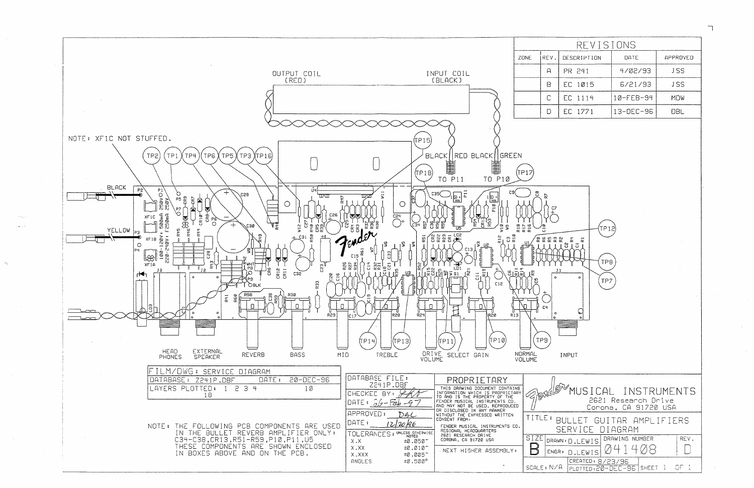

| REVISIONS   |           |            |  |  |  |  |
|-------------|-----------|------------|--|--|--|--|
| DESCRIPTION | DATE      | APPROVED   |  |  |  |  |
| PR 241      | 4/02/93   | <b>JSS</b> |  |  |  |  |
| EC 1015     | 6/21/93   | <b>JSS</b> |  |  |  |  |
| EC 1114     | 10-FEB-94 | <b>MDW</b> |  |  |  |  |
| EC 1771     | 13-DEC-96 | NBI I      |  |  |  |  |

|                                             | <b><i>M</i>USICAL INSTRUMENTS</b><br>2621 Research Drive<br>Corona, CA 91720 USA |      |  |  |
|---------------------------------------------|----------------------------------------------------------------------------------|------|--|--|
| BULLET GUITAR AMPLIFIERS<br>SERVICE DIAGRAM |                                                                                  |      |  |  |
|                                             | AWN: D.LEWIS BRAWING NUMBER                                                      | REV. |  |  |
|                                             | GR: D.LEWIS $\varnothing$ 414 $\varnothing$ 8                                    |      |  |  |
| 7Α                                          | CREATED: 8/23/96<br>PLOTTED:20-DEC-96 SHEET 1                                    | OF 1 |  |  |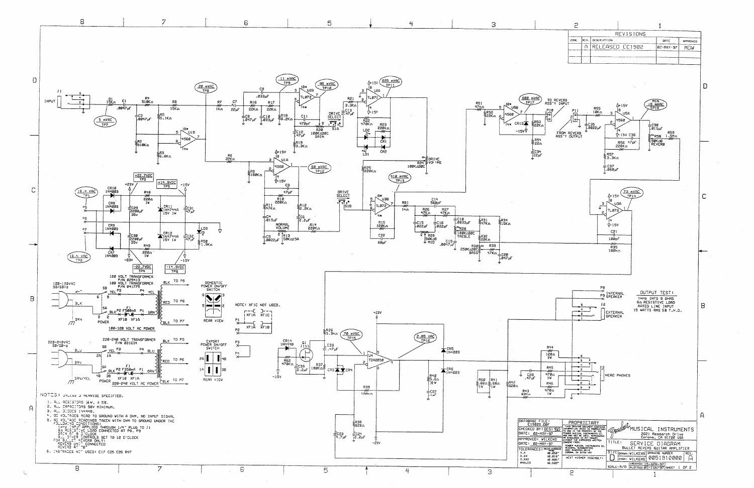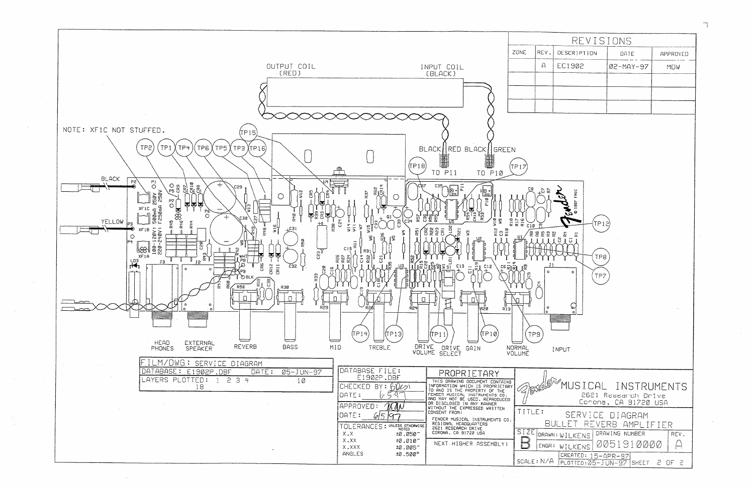

| REVISIONS |          |  |  |  |  |
|-----------|----------|--|--|--|--|
| DATE      | APPROVED |  |  |  |  |
| 02-MAY-97 | MDW      |  |  |  |  |
|           |          |  |  |  |  |
|           |          |  |  |  |  |
|           |          |  |  |  |  |
|           |          |  |  |  |  |

WE MUSICAL INSTRUMENTS 2621 Research Drive Corona, CA 91720 USA SERVICE DIAGRAM BULLET REVERB AMPLIFIER REV. 0051910000  $\bigcap$ CREATED: 15-APR-97 SCALE: N/A PLOTTED: 05-JUN-97 SHEET 2 OF 2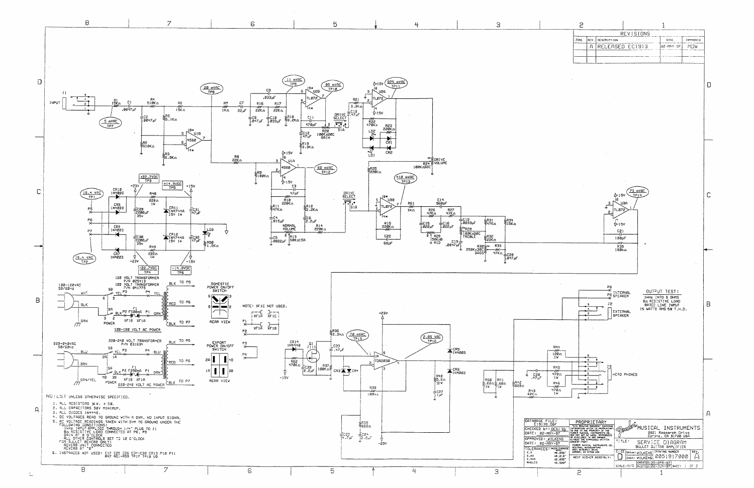

| REVISIONS |  |                                     |                         |  |  |
|-----------|--|-------------------------------------|-------------------------|--|--|
|           |  | មកអ                                 | <b><i>IVPPROVED</i></b> |  |  |
|           |  | $ 22 - \text{MIN} - 97 $            | <b>MITM</b>             |  |  |
|           |  |                                     |                         |  |  |
|           |  |                                     |                         |  |  |
|           |  | REV. DESCRIPTION<br>RELEASED EC1913 |                         |  |  |

 $\Box$ 



| MATION WHICH IS PROPRIETARY.<br>IS THE PROPERTY OF THE<br>R MUSICAL INSTRUMENTS CO.<br>AY NOT BE USED. REPRODUCED<br>SCLOSED IN ANY MANAER | <b>CONSTRUCTION</b><br>MUSILAL INSIRUML<br>2621 Research Drive<br>Conona, CA 91720 USA |
|--------------------------------------------------------------------------------------------------------------------------------------------|----------------------------------------------------------------------------------------|
| UT THE EXPRESSED WRITTEN<br>et FROM:<br>ER MUSICAL INSTRUMENTS CO.<br>ONAL HEADQUARTERS<br>RESEARCH DRIVE                                  | 73 TLE 3<br>SERVICE DIAGRAM<br>BULLET GUITAR AMPLIFIER                                 |
| MA. CA 91728 USA<br>XT HIGHER ASSEMBLY:                                                                                                    | SIZE DRAWN: WILKENS SRAWING NUMBER<br>ENGR: WILKENS 0051917000                         |
|                                                                                                                                            | CREATED: 25-APR-97<br>SCRIP: $N/2$ To attra- $92-1103-97$ Success                      |